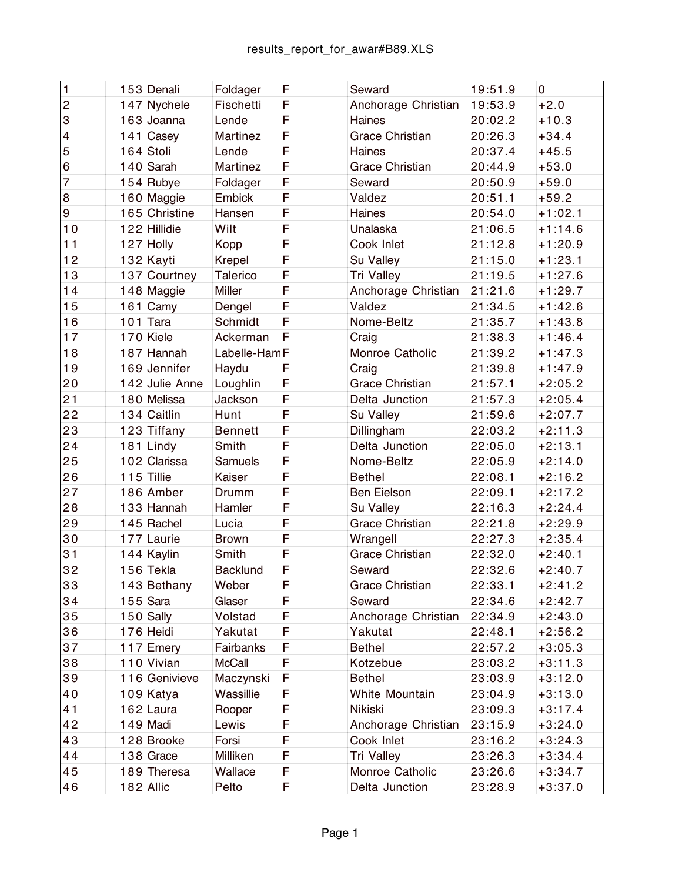| $\mathbf{1}$              | $153$ Denali      | Foldager        | F | Seward                 | 19:51.9 | 0         |
|---------------------------|-------------------|-----------------|---|------------------------|---------|-----------|
| $\overline{c}$            | $147$ Nychele     | Fischetti       | F | Anchorage Christian    | 19:53.9 | $+2.0$    |
| $\ensuremath{\mathsf{3}}$ | 163 Joanna        | Lende           | F | Haines                 | 20:02.2 | $+10.3$   |
| $\overline{\mathbf{4}}$   | 141 $\vert$ Casey | Martinez        | F | <b>Grace Christian</b> | 20:26.3 | $+34.4$   |
| 5                         | $164$ Stoli       | Lende           | F | Haines                 | 20:37.4 | $+45.5$   |
| $6\phantom{1}6$           | $140$ Sarah       | Martinez        | F | <b>Grace Christian</b> | 20:44.9 | $+53.0$   |
| $\overline{7}$            | $154$ Rubye       | Foldager        | F | Seward                 | 20:50.9 | $+59.0$   |
| $\bf 8$                   | $160$ Maggie      | Embick          | F | Valdez                 | 20:51.1 | $+59.2$   |
| $\boldsymbol{9}$          | 165 Christine     | Hansen          | F | Haines                 | 20:54.0 | $+1:02.1$ |
| 10                        | 122 Hillidie      | Wilt            | F | Unalaska               | 21:06.5 | $+1:14.6$ |
| 11                        | $127$ Holly       | Kopp            | F | Cook Inlet             | 21:12.8 | $+1:20.9$ |
| 12                        | 132 Kayti         | Krepel          | F | Su Valley              | 21:15.0 | $+1:23.1$ |
| 13                        | 137 Courtney      | <b>Talerico</b> | F | Tri Valley             | 21:19.5 | $+1:27.6$ |
| 14                        | $148$ Maggie      | Miller          | F | Anchorage Christian    | 21:21.6 | $+1:29.7$ |
| 15                        | $161$ Camy        | Dengel          | F | Valdez                 | 21:34.5 | $+1:42.6$ |
| 16                        | $101$ Tara        | Schmidt         | F | Nome-Beltz             | 21:35.7 | $+1:43.8$ |
| 17                        | $170$ Kiele       | Ackerman        | F | Craig                  | 21:38.3 | $+1:46.4$ |
| 18                        | 187 Hannah        | Labelle-Ham F   |   | Monroe Catholic        | 21:39.2 | $+1:47.3$ |
| 19                        | $169$ Jennifer    | Haydu           | F | Craig                  | 21:39.8 | $+1:47.9$ |
| 20                        | 142 Julie Anne    | Loughlin        | F | <b>Grace Christian</b> | 21:57.1 | $+2:05.2$ |
| 21                        | 180 Melissa       | Jackson         | F | Delta Junction         | 21:57.3 | $+2:05.4$ |
| 22                        | $134$ Caitlin     | Hunt            | F | Su Valley              | 21:59.6 | $+2:07.7$ |
| 23                        | 123 Tiffany       | <b>Bennett</b>  | F | Dillingham             | 22:03.2 | $+2:11.3$ |
| 24                        | $181$ Lindy       | Smith           | F | Delta Junction         | 22:05.0 | $+2:13.1$ |
| 25                        | 102 Clarissa      | Samuels         | F | Nome-Beltz             | 22:05.9 | $+2:14.0$ |
| 26                        | $115$ Tillie      | Kaiser          | F | <b>Bethel</b>          | 22:08.1 | $+2:16.2$ |
| 27                        | 186 Amber         | Drumm           | F | <b>Ben Eielson</b>     | 22:09.1 | $+2:17.2$ |
| 28                        | $133$ Hannah      | Hamler          | F | Su Valley              | 22:16.3 | $+2:24.4$ |
| 29                        | $145$ Rachel      | Lucia           | F | <b>Grace Christian</b> | 22:21.8 | $+2:29.9$ |
| 30                        | 177 Laurie        | <b>Brown</b>    | F | Wrangell               | 22:27.3 | $+2:35.4$ |
| 31                        | $144$ Kaylin      | Smith           | F | <b>Grace Christian</b> | 22:32.0 | $+2:40.1$ |
| 32                        | $156$ Tekla       | <b>Backlund</b> | F | Seward                 | 22:32.6 | $+2:40.7$ |
| 33                        | $143$ Bethany     | Weber           | F | <b>Grace Christian</b> | 22:33.1 | $+2:41.2$ |
| 34                        | $155$ Sara        | Glaser          | F | Seward                 | 22:34.6 | $+2:42.7$ |
| 35                        | $150$ Sally       | Volstad         | F | Anchorage Christian    | 22:34.9 | $+2:43.0$ |
| 36                        | $176$ Heidi       | Yakutat         | F | Yakutat                | 22:48.1 | $+2:56.2$ |
| 37                        | 117 Emery         | Fairbanks       | F | <b>Bethel</b>          | 22:57.2 | $+3:05.3$ |
| 38                        | 110 Vivian        | <b>McCall</b>   | F | Kotzebue               | 23:03.2 | $+3:11.3$ |
| 39                        | 116 Genivieve     | Maczynski       | F | <b>Bethel</b>          | 23:03.9 | $+3:12.0$ |
| 40                        | 109 Katya         | Wassillie       | F | White Mountain         | 23:04.9 | $+3:13.0$ |
| 41                        | $162$ Laura       | Rooper          | F | Nikiski                | 23:09.3 | $+3:17.4$ |
| 42                        | $149$ Madi        | Lewis           | F | Anchorage Christian    | 23:15.9 | $+3:24.0$ |
| 43                        | 128 Brooke        | Forsi           | F | Cook Inlet             | 23:16.2 | $+3:24.3$ |
| 44                        | $138$ Grace       | Milliken        | F | Tri Valley             | 23:26.3 | $+3:34.4$ |
| 45                        | 189 Theresa       | Wallace         | F | Monroe Catholic        | 23:26.6 | $+3:34.7$ |
| 46                        | $182$ Allic       | Pelto           | F | Delta Junction         | 23:28.9 | $+3:37.0$ |
|                           |                   |                 |   |                        |         |           |